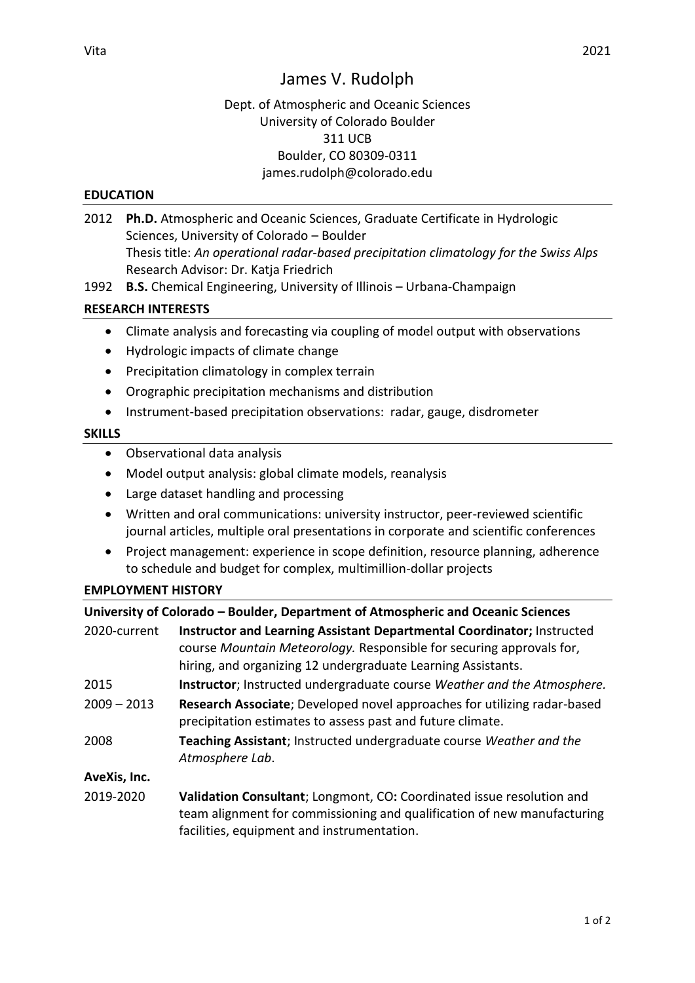# James V. Rudolph

# Dept. of Atmospheric and Oceanic Sciences University of Colorado Boulder 311 UCB Boulder, CO 80309-0311 james.rudolph@colorado.edu

#### **EDUCATION**

- 2012 **Ph.D.** Atmospheric and Oceanic Sciences, Graduate Certificate in Hydrologic Sciences, University of Colorado – Boulder Thesis title: *An operational radar-based precipitation climatology for the Swiss Alps* Research Advisor: Dr. Katja Friedrich
- 1992 **B.S.** Chemical Engineering, University of Illinois Urbana-Champaign

## **RESEARCH INTERESTS**

- Climate analysis and forecasting via coupling of model output with observations
- Hydrologic impacts of climate change
- Precipitation climatology in complex terrain
- Orographic precipitation mechanisms and distribution
- Instrument-based precipitation observations: radar, gauge, disdrometer

#### **SKILLS**

- Observational data analysis
- Model output analysis: global climate models, reanalysis
- Large dataset handling and processing
- Written and oral communications: university instructor, peer-reviewed scientific journal articles, multiple oral presentations in corporate and scientific conferences
- Project management: experience in scope definition, resource planning, adherence to schedule and budget for complex, multimillion-dollar projects

# **EMPLOYMENT HISTORY**

|               | University of Colorado - Boulder, Department of Atmospheric and Oceanic Sciences                                                                                                                               |
|---------------|----------------------------------------------------------------------------------------------------------------------------------------------------------------------------------------------------------------|
| 2020-current  | Instructor and Learning Assistant Departmental Coordinator; Instructed<br>course Mountain Meteorology. Responsible for securing approvals for,<br>hiring, and organizing 12 undergraduate Learning Assistants. |
| 2015          | Instructor; Instructed undergraduate course Weather and the Atmosphere.                                                                                                                                        |
| $2009 - 2013$ | Research Associate; Developed novel approaches for utilizing radar-based<br>precipitation estimates to assess past and future climate.                                                                         |
| 2008          | Teaching Assistant; Instructed undergraduate course Weather and the<br>Atmosphere Lab.                                                                                                                         |
| AveXis, Inc.  |                                                                                                                                                                                                                |
| 2019-2020     | Validation Consultant; Longmont, CO: Coordinated issue resolution and<br>team alignment for commissioning and qualification of new manufacturing                                                               |

facilities, equipment and instrumentation.